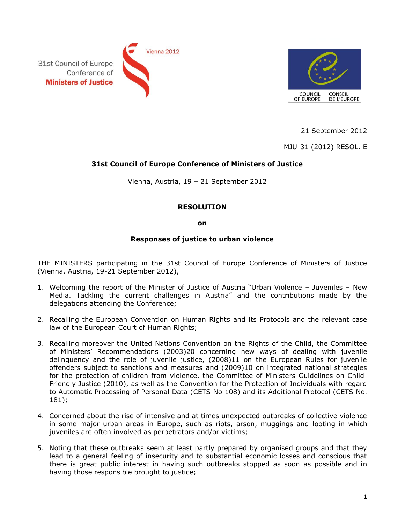



21 September 2012

MJU-31 (2012) RESOL. E

## **31st Council of Europe Conference of Ministers of Justice**

Vienna, Austria, 19 – 21 September 2012

## **RESOLUTION**

## **on**

## **Responses of justice to urban violence**

THE MINISTERS participating in the 31st Council of Europe Conference of Ministers of Justice (Vienna, Austria, 19-21 September 2012),

- 1. Welcoming the report of the Minister of Justice of Austria "Urban Violence Juveniles New Media. Tackling the current challenges in Austria" and the contributions made by the delegations attending the Conference;
- 2. Recalling the European Convention on Human Rights and its Protocols and the relevant case law of the European Court of Human Rights;
- 3. Recalling moreover the United Nations Convention on the Rights of the Child, the Committee of Ministers' Recommendations (2003)20 concerning new ways of dealing with juvenile delinquency and the role of juvenile justice, (2008)11 on the European Rules for juvenile offenders subject to sanctions and measures and (2009)10 on integrated national strategies for the protection of children from violence, the Committee of Ministers Guidelines on Child-Friendly Justice (2010), as well as the Convention for the Protection of Individuals with regard to Automatic Processing of Personal Data (CETS No 108) and its Additional Protocol (CETS No. 181);
- 4. Concerned about the rise of intensive and at times unexpected outbreaks of collective violence in some major urban areas in Europe, such as riots, arson, muggings and looting in which juveniles are often involved as perpetrators and/or victims;
- 5. Noting that these outbreaks seem at least partly prepared by organised groups and that they lead to a general feeling of insecurity and to substantial economic losses and conscious that there is great public interest in having such outbreaks stopped as soon as possible and in having those responsible brought to justice;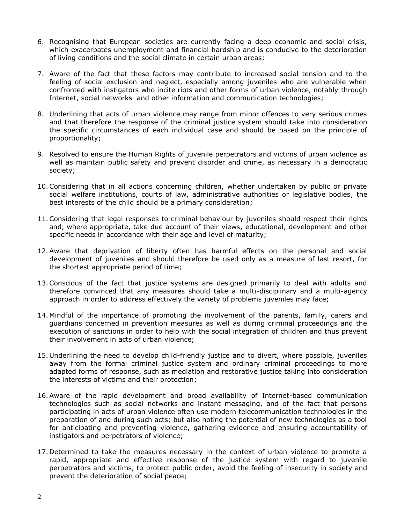- 6. Recognising that European societies are currently facing a deep economic and social crisis, which exacerbates unemployment and financial hardship and is conducive to the deterioration of living conditions and the social climate in certain urban areas;
- 7. Aware of the fact that these factors may contribute to increased social tension and to the feeling of social exclusion and neglect, especially among juveniles who are vulnerable when confronted with instigators who incite riots and other forms of urban violence, notably through Internet, social networks and other information and communication technologies;
- 8. Underlining that acts of urban violence may range from minor offences to very serious crimes and that therefore the response of the criminal justice system should take into consideration the specific circumstances of each individual case and should be based on the principle of proportionality;
- 9. Resolved to ensure the Human Rights of juvenile perpetrators and victims of urban violence as well as maintain public safety and prevent disorder and crime, as necessary in a democratic society;
- 10.Considering that in all actions concerning children, whether undertaken by public or private social welfare institutions, courts of law, administrative authorities or legislative bodies, the best interests of the child should be a primary consideration;
- 11.Considering that legal responses to criminal behaviour by juveniles should respect their rights and, where appropriate, take due account of their views, educational, development and other specific needs in accordance with their age and level of maturity;
- 12.Aware that deprivation of liberty often has harmful effects on the personal and social development of juveniles and should therefore be used only as a measure of last resort, for the shortest appropriate period of time;
- 13.Conscious of the fact that justice systems are designed primarily to deal with adults and therefore convinced that any measures should take a multi-disciplinary and a multi-agency approach in order to address effectively the variety of problems juveniles may face;
- 14. Mindful of the importance of promoting the involvement of the parents, family, carers and guardians concerned in prevention measures as well as during criminal proceedings and the execution of sanctions in order to help with the social integration of children and thus prevent their involvement in acts of urban violence;
- 15. Underlining the need to develop child-friendly justice and to divert, where possible, juveniles away from the formal criminal justice system and ordinary criminal proceedings to more adapted forms of response, such as mediation and restorative justice taking into consideration the interests of victims and their protection;
- 16.Aware of the rapid development and broad availability of Internet-based communication technologies such as social networks and instant messaging, and of the fact that persons participating in acts of urban violence often use modern telecommunication technologies in the preparation of and during such acts; but also noting the potential of new technologies as a tool for anticipating and preventing violence, gathering evidence and ensuring accountability of instigators and perpetrators of violence;
- 17. Determined to take the measures necessary in the context of urban violence to promote a rapid, appropriate and effective response of the justice system with regard to juvenile perpetrators and victims, to protect public order, avoid the feeling of insecurity in society and prevent the deterioration of social peace;